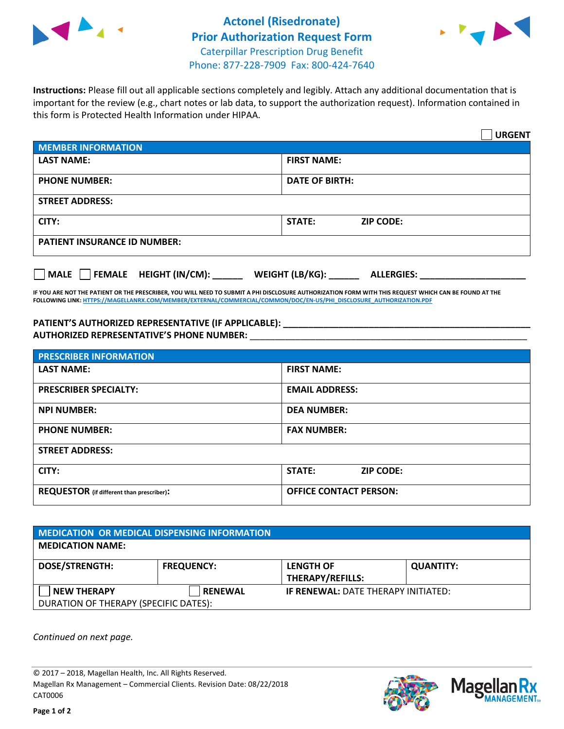



**Instructions:** Please fill out all applicable sections completely and legibly. Attach any additional documentation that is important for the review (e.g., chart notes or lab data, to support the authorization request). Information contained in this form is Protected Health Information under HIPAA.

|                                                | <b>URGENT</b>                        |  |  |  |
|------------------------------------------------|--------------------------------------|--|--|--|
| <b>MEMBER INFORMATION</b>                      |                                      |  |  |  |
| <b>LAST NAME:</b>                              | <b>FIRST NAME:</b>                   |  |  |  |
| <b>PHONE NUMBER:</b>                           | <b>DATE OF BIRTH:</b>                |  |  |  |
| <b>STREET ADDRESS:</b>                         |                                      |  |  |  |
| CITY:                                          | <b>STATE:</b><br><b>ZIP CODE:</b>    |  |  |  |
| <b>PATIENT INSURANCE ID NUMBER:</b>            |                                      |  |  |  |
| $\Box$ FEMALE HEIGHT (IN/CM): _<br><b>MALE</b> | WEIGHT (LB/KG):<br><b>ALLERGIES:</b> |  |  |  |

**IF YOU ARE NOT THE PATIENT OR THE PRESCRIBER, YOU WILL NEED TO SUBMIT A PHI DISCLOSURE AUTHORIZATION FORM WITH THIS REQUEST WHICH CAN BE FOUND AT THE FOLLOWING LINK[: HTTPS://MAGELLANRX.COM/MEMBER/EXTERNAL/COMMERCIAL/COMMON/DOC/EN-US/PHI\\_DISCLOSURE\\_AUTHORIZATION.PDF](https://magellanrx.com/member/external/commercial/common/doc/en-us/PHI_Disclosure_Authorization.pdf)**

**PATIENT'S AUTHORIZED REPRESENTATIVE (IF APPLICABLE): \_\_\_\_\_\_\_\_\_\_\_\_\_\_\_\_\_\_\_\_\_\_\_\_\_\_\_\_\_\_\_\_\_\_\_\_\_\_\_\_\_\_\_\_\_\_\_\_\_ AUTHORIZED REPRESENTATIVE'S PHONE NUMBER:** \_\_\_\_\_\_\_\_\_\_\_\_\_\_\_\_\_\_\_\_\_\_\_\_\_\_\_\_\_\_\_\_\_\_\_\_\_\_\_\_\_\_\_\_\_\_\_\_\_\_\_\_\_\_\_

| <b>PRESCRIBER INFORMATION</b>             |                               |  |  |  |
|-------------------------------------------|-------------------------------|--|--|--|
| <b>LAST NAME:</b>                         | <b>FIRST NAME:</b>            |  |  |  |
| <b>PRESCRIBER SPECIALTY:</b>              | <b>EMAIL ADDRESS:</b>         |  |  |  |
| <b>NPI NUMBER:</b>                        | <b>DEA NUMBER:</b>            |  |  |  |
| <b>PHONE NUMBER:</b>                      | <b>FAX NUMBER:</b>            |  |  |  |
| <b>STREET ADDRESS:</b>                    |                               |  |  |  |
| CITY:                                     | STATE:<br><b>ZIP CODE:</b>    |  |  |  |
| REQUESTOR (if different than prescriber): | <b>OFFICE CONTACT PERSON:</b> |  |  |  |

| <b>MEDICATION OR MEDICAL DISPENSING INFORMATION</b> |                   |                                            |                  |  |  |
|-----------------------------------------------------|-------------------|--------------------------------------------|------------------|--|--|
| <b>MEDICATION NAME:</b>                             |                   |                                            |                  |  |  |
| <b>DOSE/STRENGTH:</b>                               | <b>FREQUENCY:</b> | <b>LENGTH OF</b>                           | <b>QUANTITY:</b> |  |  |
|                                                     |                   | <b>THERAPY/REFILLS:</b>                    |                  |  |  |
| <b>NEW THERAPY</b>                                  | <b>RENEWAL</b>    | <b>IF RENEWAL: DATE THERAPY INITIATED:</b> |                  |  |  |
| DURATION OF THERAPY (SPECIFIC DATES):               |                   |                                            |                  |  |  |

*Continued on next page.*

© 2017 – 2018, Magellan Health, Inc. All Rights Reserved. Magellan Rx Management – Commercial Clients. Revision Date: 08/22/2018 CAT0006